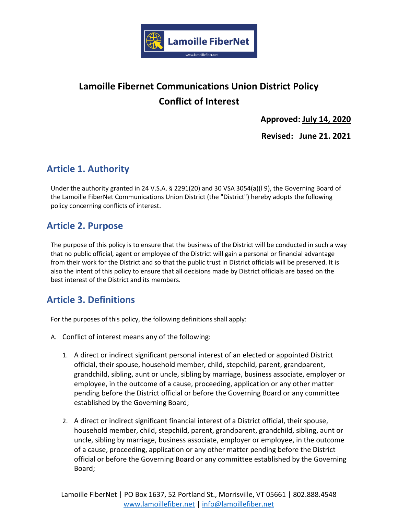

# **Lamoille Fibernet Communications Union District Policy Conflict of Interest**

**Approved: July 14, 2020**

**Revised: June 21. 2021**

# **Article 1. Authority**

Under the authority granted in 24 V.S.A. § 2291(20) and 30 VSA 3054(a)(l 9), the Governing Board of the Lamoille FiberNet Communications Union District (the "District") hereby adopts the following policy concerning conflicts of interest.

## **Article 2. Purpose**

The purpose of this policy is to ensure that the business of the District will be conducted in such a way that no public official, agent or employee of the District will gain a personal or financial advantage from their work for the District and so that the public trust in District officials will be preserved. It is also the intent of this policy to ensure that all decisions made by District officials are based on the best interest of the District and its members.

## **Article 3. Definitions**

For the purposes of this policy, the following definitions shall apply:

- A. Conflict of interest means any of the following:
	- 1. A direct or indirect significant personal interest of an elected or appointed District official, their spouse, household member, child, stepchild, parent, grandparent, grandchild, sibling, aunt or uncle, sibling by marriage, business associate, employer or employee, in the outcome of a cause, proceeding, application or any other matter pending before the District official or before the Governing Board or any committee established by the Governing Board;
	- 2. A direct or indirect significant financial interest of a District official, their spouse, household member, child, stepchild, parent, grandparent, grandchild, sibling, aunt or uncle, sibling by marriage, business associate, employer or employee, in the outcome of a cause, proceeding, application or any other matter pending before the District official or before the Governing Board or any committee established by the Governing Board;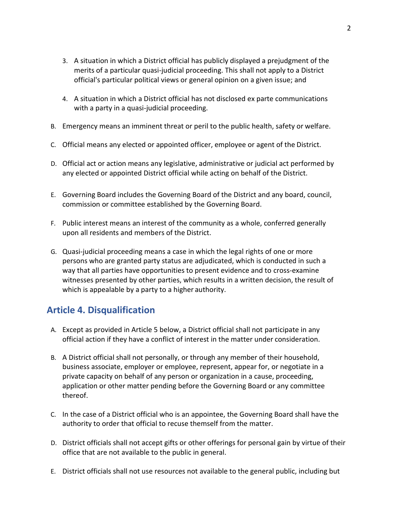- 3. A situation in which a District official has publicly displayed a prejudgment of the merits of a particular quasi-judicial proceeding. This shall not apply to a District official's particular political views or general opinion on a given issue; and
- 4. A situation in which a District official has not disclosed ex parte communications with a party in a quasi-judicial proceeding.
- B. Emergency means an imminent threat or peril to the public health, safety or welfare.
- C. Official means any elected or appointed officer, employee or agent of the District.
- D. Official act or action means any legislative, administrative or judicial act performed by any elected or appointed District official while acting on behalf of the District.
- E. Governing Board includes the Governing Board of the District and any board, council, commission or committee established by the Governing Board.
- F. Public interest means an interest of the community as a whole, conferred generally upon all residents and members of the District.
- G. Quasi-judicial proceeding means a case in which the legal rights of one or more persons who are granted party status are adjudicated, which is conducted in such a way that all parties have opportunities to present evidence and to cross-examine witnesses presented by other parties, which results in a written decision, the result of which is appealable by a party to a higher authority.

## **Article 4. Disqualification**

- A. Except as provided in Article 5 below, a District official shall not participate in any official action if they have a conflict of interest in the matter under consideration.
- B. A District official shall not personally, or through any member of their household, business associate, employer or employee, represent, appear for, or negotiate in a private capacity on behalf of any person or organization in a cause, proceeding, application or other matter pending before the Governing Board or any committee thereof.
- C. In the case of a District official who is an appointee, the Governing Board shall have the authority to order that official to recuse themself from the matter.
- D. District officials shall not accept gifts or other offerings for personal gain by virtue of their office that are not available to the public in general.
- E. District officials shall not use resources not available to the general public, including but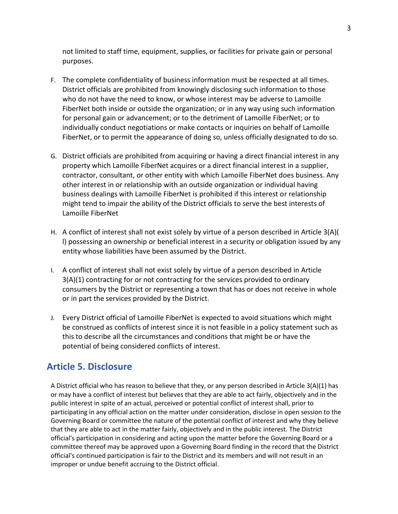not limited to staff time, equipment, supplies, or facilities for private gain or personal purposes.

- F. The complete confidentiality of business information must be respected at all times. District officials are prohibited from knowingly disclosing such information to those who do not have the need to know, or whose interest may be adverse to Lamoille FiberNet both inside or outside the organization; or in any way using such information for personal gain or advancement; or to the detriment of Lamoille FiberNet; or to individually conduct negotiations or make contacts or inquiries on behalf of Lamoille FiberNet, or to permit the appearance of doing so, unless officially designated to do so.
- G. District officials are prohibited from acquiring or having a direct financial interest in any property which Lamoille FiberNet acquires or a direct financial interest in a supplier, contractor, consultant, or other entity with which Lamoille FiberNet does business. Any other interest in or relationship with an outside organization or individual having business dealings with Lamoille FiberNet is prohibited if this interest or relationship might tend to impair the ability of the District officials to serve the best interests of Lamoille FiberNet
- H. A conflict of interest shall not exist solely by virtue of a person described in Article 3(A)( l) possessing an ownership or beneficial interest in a security or obligation issued by any entity whose liabilities have been assumed by the District.
- I. A conflict of interest shall not exist solely by virtue of a person described in Article 3(A)(1) contracting for or not contracting for the services provided to ordinary consumers by the District or representing a town that has or does not receive in whole or in part the services provided by the District.
- J. Every District official of Lamoille FiberNet is expected to avoid situations which might be construed as conflicts of interest since it is not feasible in a policy statement such as this to describe all the circumstances and conditions that might be or have the potential of being considered conflicts of interest.

### **Article 5. Disclosure**

A District official who has reason to believe that they, or any person described in Article 3(A)(1) has or may have a conflict of interest but believes that they are able to act fairly, objectively and in the public interest in spite of an actual, perceived or potential conflict of interest shall, prior to participating in any official action on the matter under consideration, disclose in open session to the Governing Board or committee the nature of the potential conflict of interest and why they believe that they are able to act in the matter fairly, objectively and in the public interest. The District official's participation in considering and acting upon the matter before the Governing Board or a committee thereof may be approved upon a Governing Board finding in the record that the District official's continued participation is fair to the District and its members and will not result in an improper or undue benefit accruing to the District official.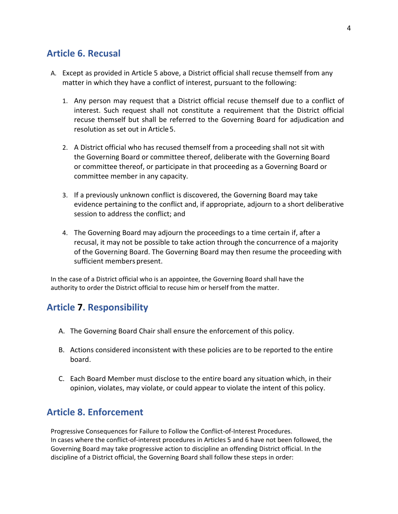#### **Article 6. Recusal**

- A. Except as provided in Article 5 above, a District official shall recuse themself from any matter in which they have a conflict of interest, pursuant to the following:
	- 1. Any person may request that a District official recuse themself due to a conflict of interest. Such request shall not constitute a requirement that the District official recuse themself but shall be referred to the Governing Board for adjudication and resolution as set out in Article5.
	- 2. A District official who has recused themself from a proceeding shall not sit with the Governing Board or committee thereof, deliberate with the Governing Board or committee thereof, or participate in that proceeding as a Governing Board or committee member in any capacity.
	- 3. If a previously unknown conflict is discovered, the Governing Board may take evidence pertaining to the conflict and, if appropriate, adjourn to a short deliberative session to address the conflict; and
	- 4. The Governing Board may adjourn the proceedings to a time certain if, after a recusal, it may not be possible to take action through the concurrence of a majority of the Governing Board. The Governing Board may then resume the proceeding with sufficient members present.

In the case of a District official who is an appointee, the Governing Board shall have the authority to order the District official to recuse him or herself from the matter.

#### **Article 7. Responsibility**

- A. The Governing Board Chair shall ensure the enforcement of this policy.
- B. Actions considered inconsistent with these policies are to be reported to the entire board.
- C. Each Board Member must disclose to the entire board any situation which, in their opinion, violates, may violate, or could appear to violate the intent of this policy.

#### **Article 8. Enforcement**

Progressive Consequences for Failure to Follow the Conflict-of-Interest Procedures. In cases where the conflict-of-interest procedures in Articles 5 and 6 have not been followed, the Governing Board may take progressive action to discipline an offending District official. In the discipline of a District official, the Governing Board shall follow these steps in order: